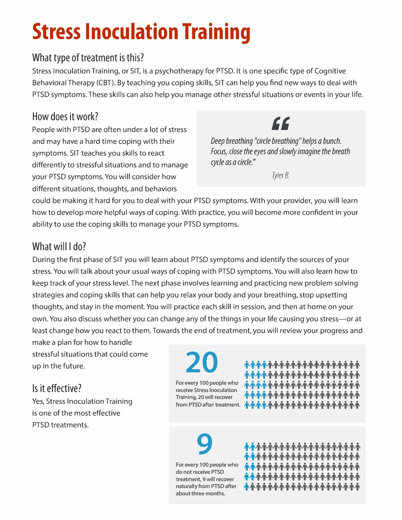## **Stress Inoculation Training**

#### **What type of treatment is this?**

Stress Inoculation Training, or SIT, is a psychotherapy for PTSD. It is one specific type of Cognitive Behavioral Therapy (CBT). By teaching you coping skills, SIT can help you find new ways to deal with PTSD symptoms. These skills can also help you manage other stressful situations or events in your life.

#### **How does it work?**

People with PTSD are often under a lot of stress and may have a hard time coping with their symptoms. SIT teaches you skills to react differently to stressful situations and to manage your PTSD symptoms. You will consider how different situations, thoughts, and behaviors

### $\epsilon$

*Deep breathing "circle breathing" helps a bunch. Focus, dose the eyes and slowly imagine the breath cycle as a circle."* 

*Tyler B.* 

could be making it hard for you to deal with your PTSD symptoms. With your provider, you will learn how to develop more helpful ways of coping. With practice, you will become more confident in your ability to use the coping skills to manage your PTSD symptoms.

#### **What will I do?**

During the first phase of SIT you will learn about PTSD symptoms and identify the sources of your stress. You will talk about your usual ways of coping with PTSD symptoms. You will also learn how to keep track of your stress level. The next phase involves learning and practicing new problem solving strategies and coping skills that can help you relax your body and your breathing, stop upsetting thoughts, and stay in the moment. You will practice each skill in session, and then at home on your own. You also discuss whether you can change any of the things in your life causing you stress—or at least change how you react to them. Towards the end of treatment, you will review your progress and

make a plan for how to handle stressful situations that could come up in the future.

#### **Is it effective?**

Yes, Stress Inoculation Training is one of the most effective PTSD treatments.

# **20**

**For every 100 people who receive Stress Inoculation Training, 20 will recover** 

from PTSD after treatment. <mark>ሱሱሱሱሱሱሱሱሱሱሱሱሱሱሱሱሱሱሱ</mark>ሱሱ **• • • • • • • • • • • • • • • • • • • • 1'1'1'1'1'1'1'1'1'1'1'ff1'1'1'1'1'1'1'** <u>\ተተተተተተተተተተተተተተተ</u> <u>\ተተተተተተተተተተተተተተ</u> **,t,t,t,t,t,t,t,t,t,t,t,t,t,t,t,t,t,t,t,t** 

**9 For every 100 people who do not receive PTSD treatment, 9 will recover naturally from PTSD after about three months.** 

• • • • • • • • • • • • • • • • • • • • **1'1'1'1'1'ff1'1'ff1'1'1'1'1'1'1'1'1' ,t,t,t,t,t,t,t,t,t,t,t,t,t,t,t,t,t,t,t,t** ++++++++++++++++++++ <u>\*\*\*\*\*\*\*\*\*\*\*\*\*\*\*\*\*</u>\*\*